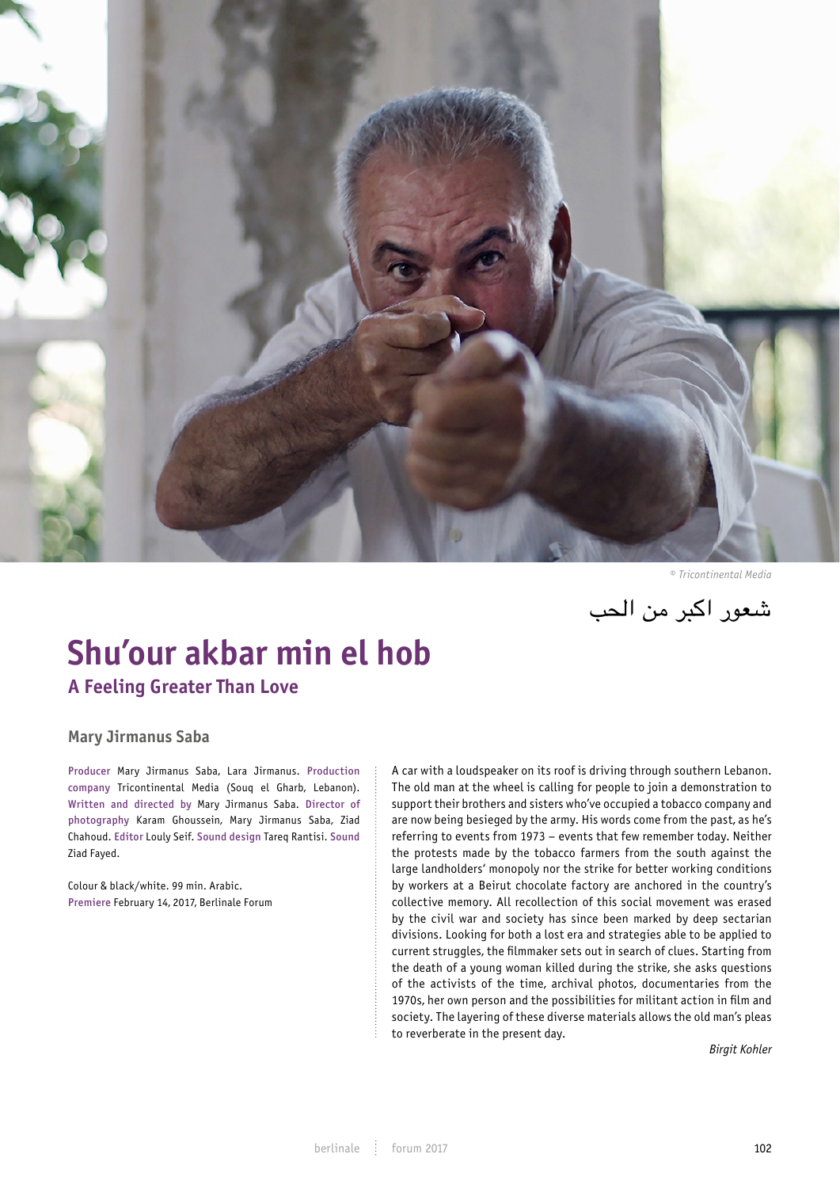

*© Tricontinental Media*

شعور اكبر من الحب

# **Shu'our akbar min el hob A Feeling Greater Than Love**

**Mary Jirmanus Saba**

Producer Mary Jirmanus Saba, Lara Jirmanus. Production company Tricontinental Media (Souq el Gharb, Lebanon). Written and directed by Mary Jirmanus Saba. Director of photography Karam Ghoussein, Mary Jirmanus Saba, Ziad Chahoud. Editor Louly Seif. Sound design Tareq Rantisi. Sound Ziad Fayed.

Colour & black/white. 99 min. Arabic. Premiere February 14, 2017, Berlinale Forum

A car with a loudspeaker on its roof is driving through southern Lebanon.<br>The change of the contract of the contract of the contract of the contract of the contract of the contract of The old man at the wheel is calling for people to join a demonstration to support their brothers and sisters who've occupied a tobacco company and are now being besieged by the army. His words come from the past, as he's referring to events from 1973 – events that few remember today. Neither<br>the protests made by the tobacco farmers from the south against the the protests made by the tobacco farmers from the south against the large landholders' monopoly nor the strike for better working conditions by workers at a Beirut chocolate factory are anchored in the country's collective memory. All recollection of this social movement was erased by the civil war and society has since been marked by deep sectarian divisions. Looking for both a lost era and strategies able to be applied to current struggles, the filmmaker sets out in search of clues. Starting from the death of a weaken the death of a young woman killed during the strike, she asks questions of the activists of the time, archival photos, documentaries from the 1970s, her own person and the possibilities for militant action in film and society. The layering of these diverse materials allows the old man's pleas to reverberate in the present day.

*Birgit Kohler*